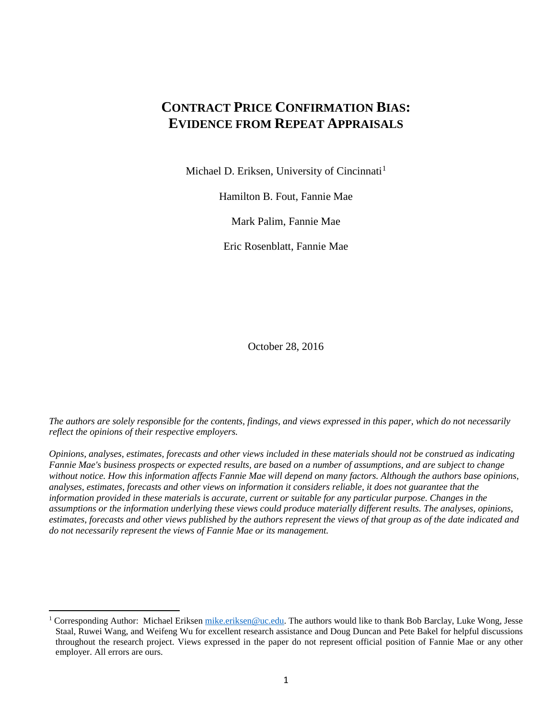# **CONTRACT PRICE CONFIRMATION BIAS: EVIDENCE FROM REPEAT APPRAISALS**

Michael D. Eriksen, University of Cincinnati<sup>[1](#page-0-0)</sup>

Hamilton B. Fout, Fannie Mae

Mark Palim, Fannie Mae

Eric Rosenblatt, Fannie Mae

October 28, 2016

*The authors are solely responsible for the contents, findings, and views expressed in this paper, which do not necessarily reflect the opinions of their respective employers.* 

*Opinions, analyses, estimates, forecasts and other views included in these materials should not be construed as indicating Fannie Mae's business prospects or expected results, are based on a number of assumptions, and are subject to change*  without notice. How this information affects Fannie Mae will depend on many factors. Although the authors base opinions, *analyses, estimates, forecasts and other views on information it considers reliable, it does not guarantee that the information provided in these materials is accurate, current or suitable for any particular purpose. Changes in the assumptions or the information underlying these views could produce materially different results. The analyses, opinions, estimates, forecasts and other views published by the authors represent the views of that group as of the date indicated and do not necessarily represent the views of Fannie Mae or its management.*

 $\overline{a}$ 

<span id="page-0-0"></span><sup>1</sup> Corresponding Author: Michael Eriksen [mike.eriksen@uc.edu.](mailto:mike.eriksen@uc.edu) The authors would like to thank Bob Barclay, Luke Wong, Jesse Staal, Ruwei Wang, and Weifeng Wu for excellent research assistance and Doug Duncan and Pete Bakel for helpful discussions throughout the research project. Views expressed in the paper do not represent official position of Fannie Mae or any other employer. All errors are ours.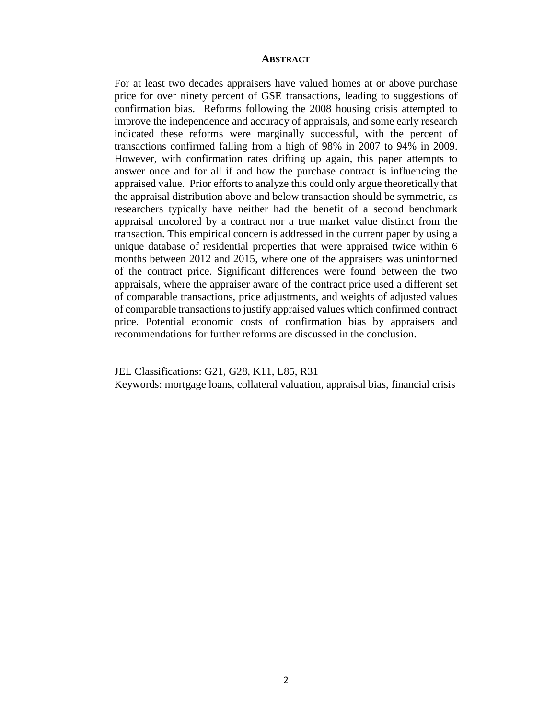#### **ABSTRACT**

For at least two decades appraisers have valued homes at or above purchase price for over ninety percent of GSE transactions, leading to suggestions of confirmation bias. Reforms following the 2008 housing crisis attempted to improve the independence and accuracy of appraisals, and some early research indicated these reforms were marginally successful, with the percent of transactions confirmed falling from a high of 98% in 2007 to 94% in 2009. However, with confirmation rates drifting up again, this paper attempts to answer once and for all if and how the purchase contract is influencing the appraised value. Prior efforts to analyze this could only argue theoretically that the appraisal distribution above and below transaction should be symmetric, as researchers typically have neither had the benefit of a second benchmark appraisal uncolored by a contract nor a true market value distinct from the transaction. This empirical concern is addressed in the current paper by using a unique database of residential properties that were appraised twice within 6 months between 2012 and 2015, where one of the appraisers was uninformed of the contract price. Significant differences were found between the two appraisals, where the appraiser aware of the contract price used a different set of comparable transactions, price adjustments, and weights of adjusted values of comparable transactions to justify appraised values which confirmed contract price. Potential economic costs of confirmation bias by appraisers and recommendations for further reforms are discussed in the conclusion.

JEL Classifications: G21, G28, K11, L85, R31 Keywords: mortgage loans, collateral valuation, appraisal bias, financial crisis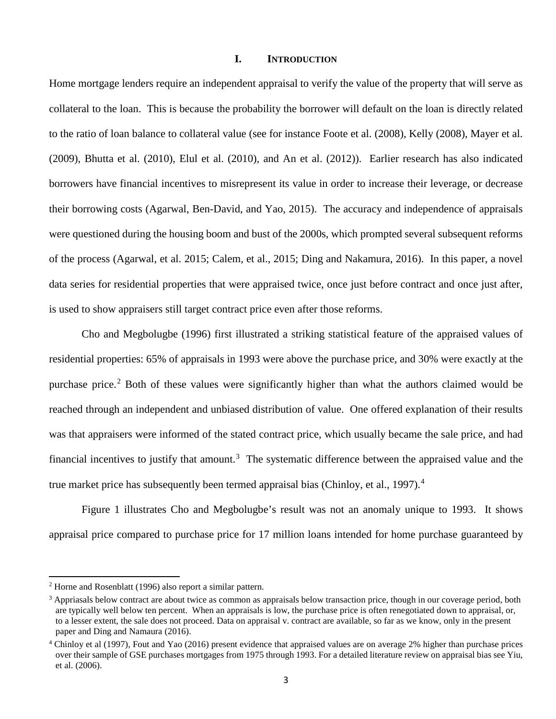#### **I. INTRODUCTION**

Home mortgage lenders require an independent appraisal to verify the value of the property that will serve as collateral to the loan. This is because the probability the borrower will default on the loan is directly related to the ratio of loan balance to collateral value (see for instance Foote et al. (2008), Kelly (2008), Mayer et al. (2009), Bhutta et al. (2010), Elul et al. (2010), and An et al. (2012)). Earlier research has also indicated borrowers have financial incentives to misrepresent its value in order to increase their leverage, or decrease their borrowing costs (Agarwal, Ben-David, and Yao, 2015). The accuracy and independence of appraisals were questioned during the housing boom and bust of the 2000s, which prompted several subsequent reforms of the process (Agarwal, et al. 2015; Calem, et al., 2015; Ding and Nakamura, 2016). In this paper, a novel data series for residential properties that were appraised twice, once just before contract and once just after, is used to show appraisers still target contract price even after those reforms.

Cho and Megbolugbe (1996) first illustrated a striking statistical feature of the appraised values of residential properties: 65% of appraisals in 1993 were above the purchase price, and 30% were exactly at the purchase price.<sup>[2](#page-2-0)</sup> Both of these values were significantly higher than what the authors claimed would be reached through an independent and unbiased distribution of value. One offered explanation of their results was that appraisers were informed of the stated contract price, which usually became the sale price, and had financial incentives to justify that amount.<sup>[3](#page-2-1)</sup> The systematic difference between the appraised value and the true market price has subsequently been termed appraisal bias (Chinloy, et al., 1997).<sup>[4](#page-2-2)</sup>

Figure 1 illustrates Cho and Megbolugbe's result was not an anomaly unique to 1993. It shows appraisal price compared to purchase price for 17 million loans intended for home purchase guaranteed by

 $\overline{a}$ 

<span id="page-2-0"></span><sup>2</sup> Horne and Rosenblatt (1996) also report a similar pattern.

<span id="page-2-1"></span><sup>&</sup>lt;sup>3</sup> Appriasals below contract are about twice as common as appraisals below transaction price, though in our coverage period, both are typically well below ten percent. When an appraisals is low, the purchase price is often renegotiated down to appraisal, or, to a lesser extent, the sale does not proceed. Data on appraisal v. contract are available, so far as we know, only in the present paper and Ding and Namaura (2016).

<span id="page-2-2"></span><sup>4</sup> Chinloy et al (1997), Fout and Yao (2016) present evidence that appraised values are on average 2% higher than purchase prices over their sample of GSE purchases mortgages from 1975 through 1993. For a detailed literature review on appraisal bias see Yiu, et al. (2006).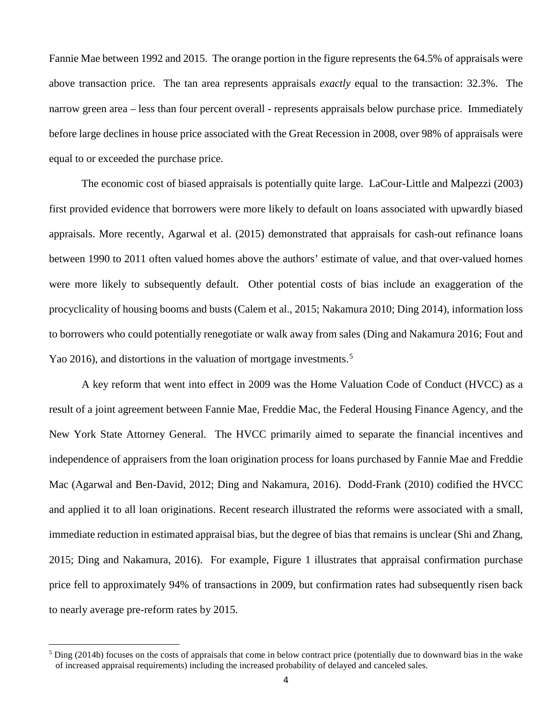Fannie Mae between 1992 and 2015. The orange portion in the figure represents the 64.5% of appraisals were above transaction price. The tan area represents appraisals *exactly* equal to the transaction: 32.3%. The narrow green area – less than four percent overall - represents appraisals below purchase price. Immediately before large declines in house price associated with the Great Recession in 2008, over 98% of appraisals were equal to or exceeded the purchase price.

The economic cost of biased appraisals is potentially quite large. LaCour-Little and Malpezzi (2003) first provided evidence that borrowers were more likely to default on loans associated with upwardly biased appraisals. More recently, Agarwal et al. (2015) demonstrated that appraisals for cash-out refinance loans between 1990 to 2011 often valued homes above the authors' estimate of value, and that over-valued homes were more likely to subsequently default. Other potential costs of bias include an exaggeration of the procyclicality of housing booms and busts (Calem et al., 2015; Nakamura 2010; Ding 2014), information loss to borrowers who could potentially renegotiate or walk away from sales (Ding and Nakamura 2016; Fout and Yao 2016), and distortions in the valuation of mortgage investments.<sup>[5](#page-3-0)</sup>

A key reform that went into effect in 2009 was the Home Valuation Code of Conduct (HVCC) as a result of a joint agreement between Fannie Mae, Freddie Mac, the Federal Housing Finance Agency, and the New York State Attorney General. The HVCC primarily aimed to separate the financial incentives and independence of appraisers from the loan origination process for loans purchased by Fannie Mae and Freddie Mac (Agarwal and Ben-David, 2012; Ding and Nakamura, 2016). Dodd-Frank (2010) codified the HVCC and applied it to all loan originations. Recent research illustrated the reforms were associated with a small, immediate reduction in estimated appraisal bias, but the degree of bias that remains is unclear (Shi and Zhang, 2015; Ding and Nakamura, 2016). For example, Figure 1 illustrates that appraisal confirmation purchase price fell to approximately 94% of transactions in 2009, but confirmation rates had subsequently risen back to nearly average pre-reform rates by 2015.

 $\overline{\phantom{a}}$ 

<span id="page-3-0"></span><sup>&</sup>lt;sup>5</sup> Ding (2014b) focuses on the costs of appraisals that come in below contract price (potentially due to downward bias in the wake of increased appraisal requirements) including the increased probability of delayed and canceled sales.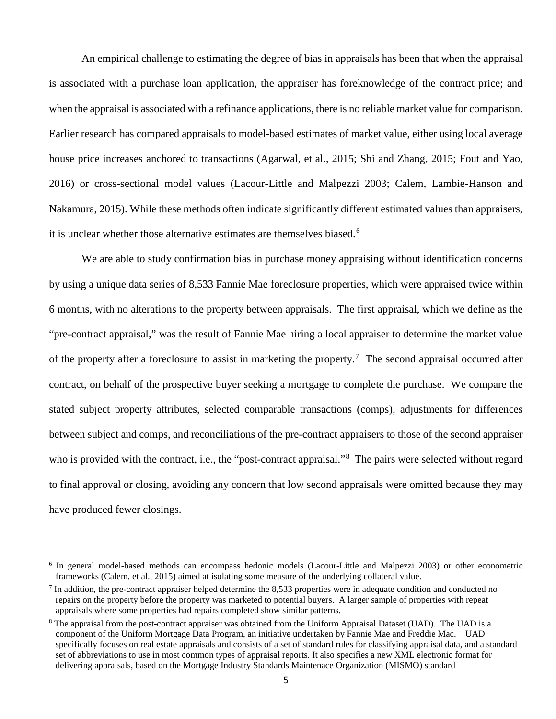An empirical challenge to estimating the degree of bias in appraisals has been that when the appraisal is associated with a purchase loan application, the appraiser has foreknowledge of the contract price; and when the appraisal is associated with a refinance applications, there is no reliable market value for comparison. Earlier research has compared appraisals to model-based estimates of market value, either using local average house price increases anchored to transactions (Agarwal, et al., 2015; Shi and Zhang, 2015; Fout and Yao, 2016) or cross-sectional model values (Lacour-Little and Malpezzi 2003; Calem, Lambie-Hanson and Nakamura, 2015). While these methods often indicate significantly different estimated values than appraisers, it is unclear whether those alternative estimates are themselves biased.<sup>[6](#page-4-0)</sup>

We are able to study confirmation bias in purchase money appraising without identification concerns by using a unique data series of 8,533 Fannie Mae foreclosure properties, which were appraised twice within 6 months, with no alterations to the property between appraisals. The first appraisal, which we define as the "pre-contract appraisal," was the result of Fannie Mae hiring a local appraiser to determine the market value of the property after a foreclosure to assist in marketing the property.<sup>[7](#page-4-1)</sup> The second appraisal occurred after contract, on behalf of the prospective buyer seeking a mortgage to complete the purchase. We compare the stated subject property attributes, selected comparable transactions (comps), adjustments for differences between subject and comps, and reconciliations of the pre-contract appraisers to those of the second appraiser who is provided with the contract, i.e., the "post-contract appraisal."<sup>[8](#page-4-2)</sup> The pairs were selected without regard to final approval or closing, avoiding any concern that low second appraisals were omitted because they may have produced fewer closings.

 $\overline{\phantom{a}}$ 

<span id="page-4-0"></span><sup>6</sup> In general model-based methods can encompass hedonic models (Lacour-Little and Malpezzi 2003) or other econometric frameworks (Calem, et al., 2015) aimed at isolating some measure of the underlying collateral value.

<span id="page-4-1"></span>In addition, the pre-contract appraiser helped determine the 8,533 properties were in adequate condition and conducted no repairs on the property before the property was marketed to potential buyers. A larger sample of properties with repeat appraisals where some properties had repairs completed show similar patterns.

<span id="page-4-2"></span><sup>&</sup>lt;sup>8</sup> The appraisal from the post-contract appraiser was obtained from the Uniform Appraisal Dataset (UAD). The UAD is a component of the Uniform Mortgage Data Program, an initiative undertaken by Fannie Mae and Freddie Mac. UAD specifically focuses on real estate appraisals and consists of a set of standard rules for classifying appraisal data, and a standard set of abbreviations to use in most common types of appraisal reports. It also specifies a new XML electronic format for delivering appraisals, based on the Mortgage Industry Standards Maintenace Organization (MISMO) standard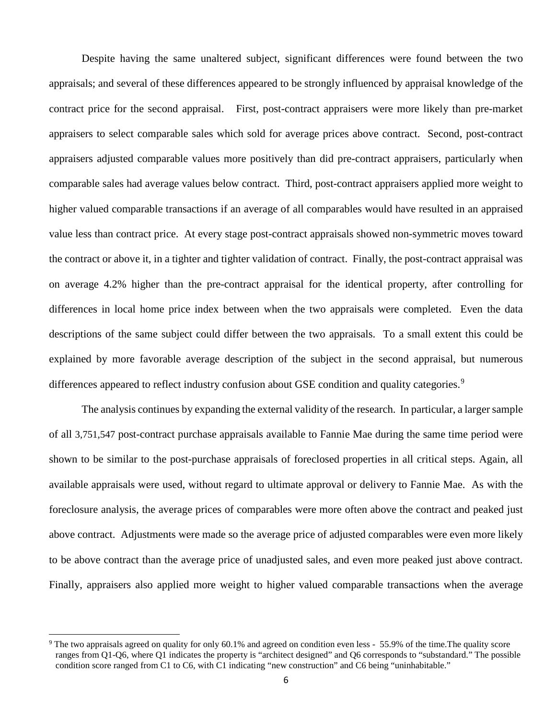Despite having the same unaltered subject, significant differences were found between the two appraisals; and several of these differences appeared to be strongly influenced by appraisal knowledge of the contract price for the second appraisal. First, post-contract appraisers were more likely than pre-market appraisers to select comparable sales which sold for average prices above contract. Second, post-contract appraisers adjusted comparable values more positively than did pre-contract appraisers, particularly when comparable sales had average values below contract. Third, post-contract appraisers applied more weight to higher valued comparable transactions if an average of all comparables would have resulted in an appraised value less than contract price. At every stage post-contract appraisals showed non-symmetric moves toward the contract or above it, in a tighter and tighter validation of contract. Finally, the post-contract appraisal was on average 4.2% higher than the pre-contract appraisal for the identical property, after controlling for differences in local home price index between when the two appraisals were completed. Even the data descriptions of the same subject could differ between the two appraisals. To a small extent this could be explained by more favorable average description of the subject in the second appraisal, but numerous differences appeared to reflect industry confusion about GSE condition and quality categories.<sup>[9](#page-5-0)</sup>

The analysis continues by expanding the external validity of the research. In particular, a larger sample of all 3,751,547 post-contract purchase appraisals available to Fannie Mae during the same time period were shown to be similar to the post-purchase appraisals of foreclosed properties in all critical steps. Again, all available appraisals were used, without regard to ultimate approval or delivery to Fannie Mae. As with the foreclosure analysis, the average prices of comparables were more often above the contract and peaked just above contract. Adjustments were made so the average price of adjusted comparables were even more likely to be above contract than the average price of unadjusted sales, and even more peaked just above contract. Finally, appraisers also applied more weight to higher valued comparable transactions when the average

l

<span id="page-5-0"></span><sup>&</sup>lt;sup>9</sup> The two appraisals agreed on quality for only 60.1% and agreed on condition even less - 55.9% of the time. The quality score ranges from Q1-Q6, where Q1 indicates the property is "architect designed" and Q6 corresponds to "substandard." The possible condition score ranged from C1 to C6, with C1 indicating "new construction" and C6 being "uninhabitable."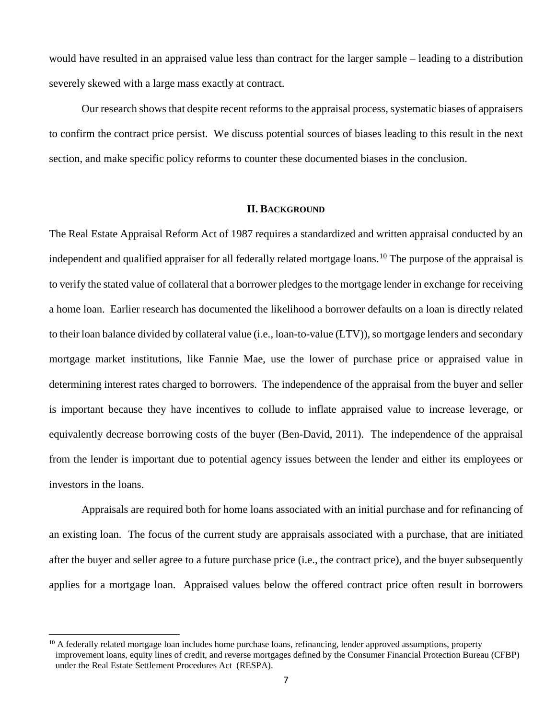would have resulted in an appraised value less than contract for the larger sample – leading to a distribution severely skewed with a large mass exactly at contract.

Our research shows that despite recent reforms to the appraisal process, systematic biases of appraisers to confirm the contract price persist. We discuss potential sources of biases leading to this result in the next section, and make specific policy reforms to counter these documented biases in the conclusion.

# **II. BACKGROUND**

The Real Estate Appraisal Reform Act of 1987 requires a standardized and written appraisal conducted by an independent and qualified appraiser for all federally related mortgage loans.<sup>[10](#page-6-0)</sup> The purpose of the appraisal is to verify the stated value of collateral that a borrower pledges to the mortgage lender in exchange for receiving a home loan. Earlier research has documented the likelihood a borrower defaults on a loan is directly related to their loan balance divided by collateral value (i.e., loan-to-value (LTV)), so mortgage lenders and secondary mortgage market institutions, like Fannie Mae, use the lower of purchase price or appraised value in determining interest rates charged to borrowers. The independence of the appraisal from the buyer and seller is important because they have incentives to collude to inflate appraised value to increase leverage, or equivalently decrease borrowing costs of the buyer (Ben-David, 2011). The independence of the appraisal from the lender is important due to potential agency issues between the lender and either its employees or investors in the loans.

Appraisals are required both for home loans associated with an initial purchase and for refinancing of an existing loan. The focus of the current study are appraisals associated with a purchase, that are initiated after the buyer and seller agree to a future purchase price (i.e., the contract price), and the buyer subsequently applies for a mortgage loan. Appraised values below the offered contract price often result in borrowers

l

<span id="page-6-0"></span> $10$  A federally related mortgage loan includes home purchase loans, refinancing, lender approved assumptions, property improvement loans, equity lines of credit, and reverse mortgages defined by the Consumer Financial Protection Bureau (CFBP) under the Real Estate Settlement Procedures Act (RESPA).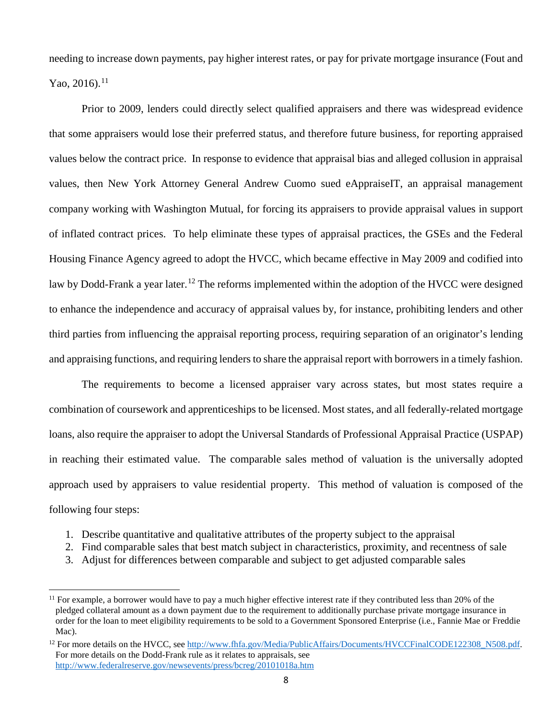needing to increase down payments, pay higher interest rates, or pay for private mortgage insurance (Fout and Yao, 2016).<sup>11</sup>

Prior to 2009, lenders could directly select qualified appraisers and there was widespread evidence that some appraisers would lose their preferred status, and therefore future business, for reporting appraised values below the contract price. In response to evidence that appraisal bias and alleged collusion in appraisal values, then New York Attorney General Andrew Cuomo sued eAppraiseIT, an appraisal management company working with Washington Mutual, for forcing its appraisers to provide appraisal values in support of inflated contract prices. To help eliminate these types of appraisal practices, the GSEs and the Federal Housing Finance Agency agreed to adopt the HVCC, which became effective in May 2009 and codified into law by Dodd-Frank a year later.<sup>[12](#page-7-1)</sup> The reforms implemented within the adoption of the HVCC were designed to enhance the independence and accuracy of appraisal values by, for instance, prohibiting lenders and other third parties from influencing the appraisal reporting process, requiring separation of an originator's lending and appraising functions, and requiring lenders to share the appraisal report with borrowers in a timely fashion.

The requirements to become a licensed appraiser vary across states, but most states require a combination of coursework and apprenticeships to be licensed. Most states, and all federally-related mortgage loans, also require the appraiser to adopt the Universal Standards of Professional Appraisal Practice (USPAP) in reaching their estimated value. The comparable sales method of valuation is the universally adopted approach used by appraisers to value residential property. This method of valuation is composed of the following four steps:

- 1. Describe quantitative and qualitative attributes of the property subject to the appraisal
- 2. Find comparable sales that best match subject in characteristics, proximity, and recentness of sale
- 3. Adjust for differences between comparable and subject to get adjusted comparable sales

<span id="page-7-0"></span> $11$  For example, a borrower would have to pay a much higher effective interest rate if they contributed less than 20% of the pledged collateral amount as a down payment due to the requirement to additionally purchase private mortgage insurance in order for the loan to meet eligibility requirements to be sold to a Government Sponsored Enterprise (i.e., Fannie Mae or Freddie Mac). l

<span id="page-7-1"></span><sup>&</sup>lt;sup>12</sup> For more details on the HVCC, see [http://www.fhfa.gov/Media/PublicAffairs/Documents/HVCCFinalCODE122308\\_N508.pdf.](http://www.fhfa.gov/Media/PublicAffairs/Documents/HVCCFinalCODE122308_N508.pdf) For more details on the Dodd-Frank rule as it relates to appraisals, see <http://www.federalreserve.gov/newsevents/press/bcreg/20101018a.htm>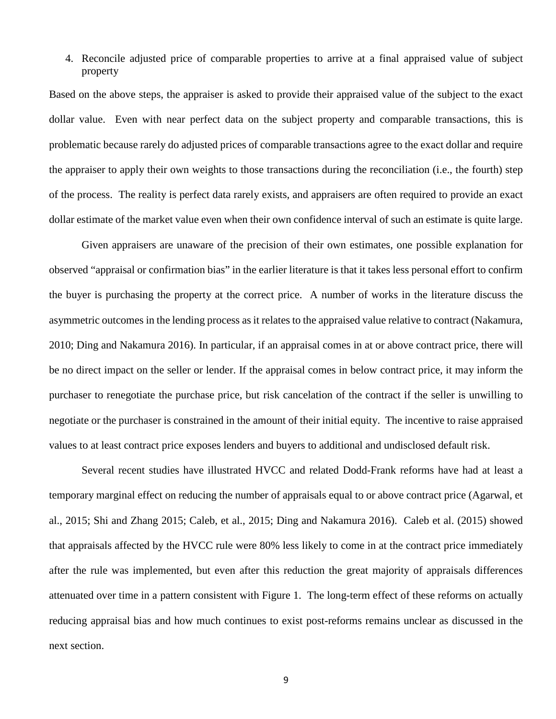# 4. Reconcile adjusted price of comparable properties to arrive at a final appraised value of subject property

Based on the above steps, the appraiser is asked to provide their appraised value of the subject to the exact dollar value. Even with near perfect data on the subject property and comparable transactions, this is problematic because rarely do adjusted prices of comparable transactions agree to the exact dollar and require the appraiser to apply their own weights to those transactions during the reconciliation (i.e., the fourth) step of the process. The reality is perfect data rarely exists, and appraisers are often required to provide an exact dollar estimate of the market value even when their own confidence interval of such an estimate is quite large.

Given appraisers are unaware of the precision of their own estimates, one possible explanation for observed "appraisal or confirmation bias" in the earlier literature is that it takes less personal effort to confirm the buyer is purchasing the property at the correct price. A number of works in the literature discuss the asymmetric outcomes in the lending process as it relates to the appraised value relative to contract (Nakamura, 2010; Ding and Nakamura 2016). In particular, if an appraisal comes in at or above contract price, there will be no direct impact on the seller or lender. If the appraisal comes in below contract price, it may inform the purchaser to renegotiate the purchase price, but risk cancelation of the contract if the seller is unwilling to negotiate or the purchaser is constrained in the amount of their initial equity. The incentive to raise appraised values to at least contract price exposes lenders and buyers to additional and undisclosed default risk.

Several recent studies have illustrated HVCC and related Dodd-Frank reforms have had at least a temporary marginal effect on reducing the number of appraisals equal to or above contract price (Agarwal, et al., 2015; Shi and Zhang 2015; Caleb, et al., 2015; Ding and Nakamura 2016). Caleb et al. (2015) showed that appraisals affected by the HVCC rule were 80% less likely to come in at the contract price immediately after the rule was implemented, but even after this reduction the great majority of appraisals differences attenuated over time in a pattern consistent with Figure 1. The long-term effect of these reforms on actually reducing appraisal bias and how much continues to exist post-reforms remains unclear as discussed in the next section.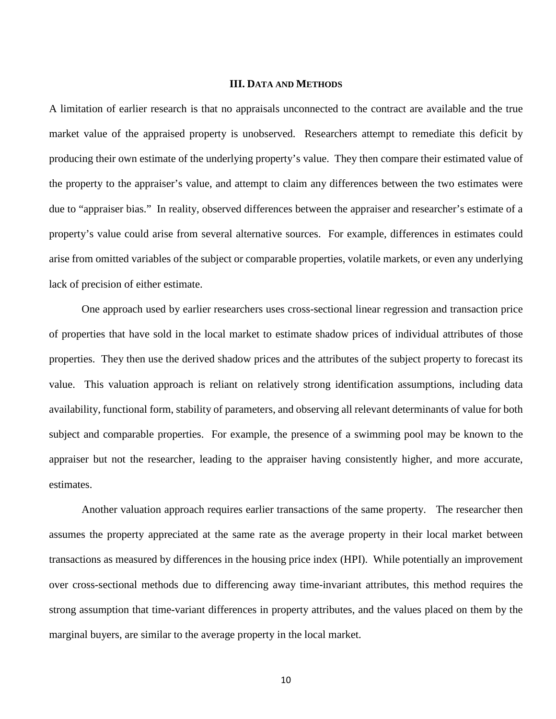#### **III. DATA AND METHODS**

A limitation of earlier research is that no appraisals unconnected to the contract are available and the true market value of the appraised property is unobserved. Researchers attempt to remediate this deficit by producing their own estimate of the underlying property's value. They then compare their estimated value of the property to the appraiser's value, and attempt to claim any differences between the two estimates were due to "appraiser bias." In reality, observed differences between the appraiser and researcher's estimate of a property's value could arise from several alternative sources. For example, differences in estimates could arise from omitted variables of the subject or comparable properties, volatile markets, or even any underlying lack of precision of either estimate.

One approach used by earlier researchers uses cross-sectional linear regression and transaction price of properties that have sold in the local market to estimate shadow prices of individual attributes of those properties. They then use the derived shadow prices and the attributes of the subject property to forecast its value. This valuation approach is reliant on relatively strong identification assumptions, including data availability, functional form, stability of parameters, and observing all relevant determinants of value for both subject and comparable properties. For example, the presence of a swimming pool may be known to the appraiser but not the researcher, leading to the appraiser having consistently higher, and more accurate, estimates.

Another valuation approach requires earlier transactions of the same property. The researcher then assumes the property appreciated at the same rate as the average property in their local market between transactions as measured by differences in the housing price index (HPI). While potentially an improvement over cross-sectional methods due to differencing away time-invariant attributes, this method requires the strong assumption that time-variant differences in property attributes, and the values placed on them by the marginal buyers, are similar to the average property in the local market.

10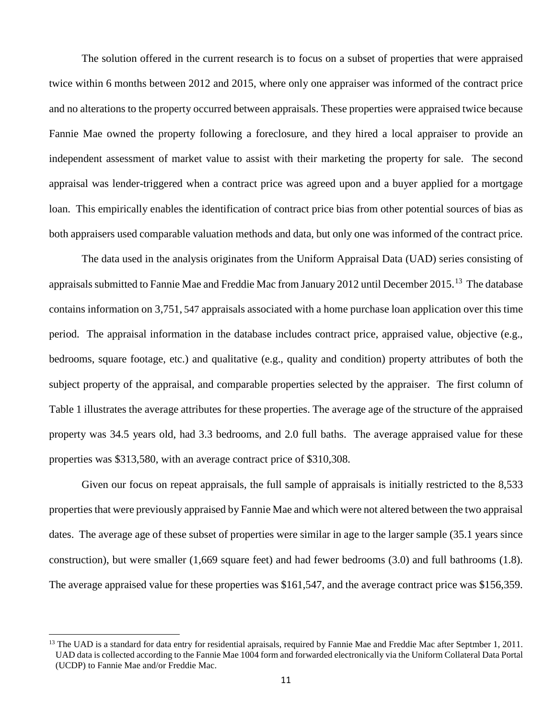The solution offered in the current research is to focus on a subset of properties that were appraised twice within 6 months between 2012 and 2015, where only one appraiser was informed of the contract price and no alterations to the property occurred between appraisals. These properties were appraised twice because Fannie Mae owned the property following a foreclosure, and they hired a local appraiser to provide an independent assessment of market value to assist with their marketing the property for sale. The second appraisal was lender-triggered when a contract price was agreed upon and a buyer applied for a mortgage loan. This empirically enables the identification of contract price bias from other potential sources of bias as both appraisers used comparable valuation methods and data, but only one was informed of the contract price.

The data used in the analysis originates from the Uniform Appraisal Data (UAD) series consisting of appraisals submitted to Fannie Mae and Freddie Mac from January 2012 until December 2015.<sup>[13](#page-10-0)</sup> The database contains information on 3,751, 547 appraisals associated with a home purchase loan application over this time period. The appraisal information in the database includes contract price, appraised value, objective (e.g., bedrooms, square footage, etc.) and qualitative (e.g., quality and condition) property attributes of both the subject property of the appraisal, and comparable properties selected by the appraiser. The first column of Table 1 illustrates the average attributes for these properties. The average age of the structure of the appraised property was 34.5 years old, had 3.3 bedrooms, and 2.0 full baths. The average appraised value for these properties was \$313,580, with an average contract price of \$310,308.

Given our focus on repeat appraisals, the full sample of appraisals is initially restricted to the 8,533 properties that were previously appraised by Fannie Mae and which were not altered between the two appraisal dates. The average age of these subset of properties were similar in age to the larger sample (35.1 years since construction), but were smaller (1,669 square feet) and had fewer bedrooms (3.0) and full bathrooms (1.8). The average appraised value for these properties was \$161,547, and the average contract price was \$156,359.

l

<span id="page-10-0"></span><sup>&</sup>lt;sup>13</sup> The UAD is a standard for data entry for residential apraisals, required by Fannie Mae and Freddie Mac after Septmber 1, 2011. UAD data is collected according to the Fannie Mae 1004 form and forwarded electronically via the Uniform Collateral Data Portal (UCDP) to Fannie Mae and/or Freddie Mac.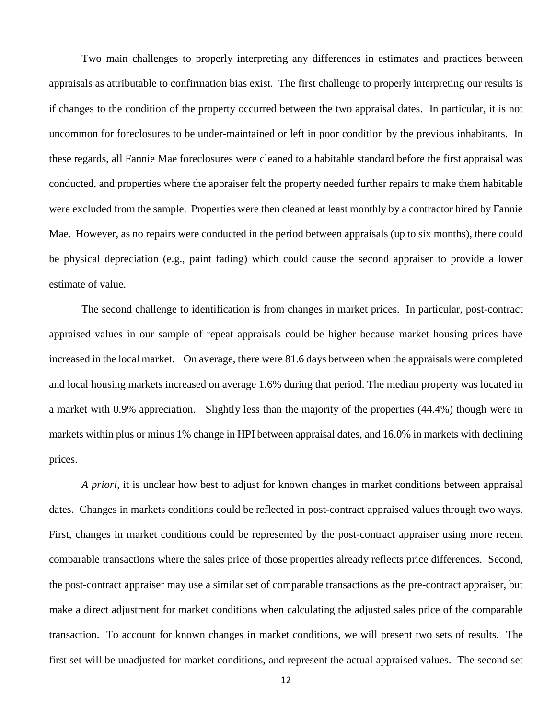Two main challenges to properly interpreting any differences in estimates and practices between appraisals as attributable to confirmation bias exist. The first challenge to properly interpreting our results is if changes to the condition of the property occurred between the two appraisal dates. In particular, it is not uncommon for foreclosures to be under-maintained or left in poor condition by the previous inhabitants. In these regards, all Fannie Mae foreclosures were cleaned to a habitable standard before the first appraisal was conducted, and properties where the appraiser felt the property needed further repairs to make them habitable were excluded from the sample. Properties were then cleaned at least monthly by a contractor hired by Fannie Mae. However, as no repairs were conducted in the period between appraisals (up to six months), there could be physical depreciation (e.g., paint fading) which could cause the second appraiser to provide a lower estimate of value.

The second challenge to identification is from changes in market prices. In particular, post-contract appraised values in our sample of repeat appraisals could be higher because market housing prices have increased in the local market. On average, there were 81.6 days between when the appraisals were completed and local housing markets increased on average 1.6% during that period. The median property was located in a market with 0.9% appreciation. Slightly less than the majority of the properties (44.4%) though were in markets within plus or minus 1% change in HPI between appraisal dates, and 16.0% in markets with declining prices.

*A priori*, it is unclear how best to adjust for known changes in market conditions between appraisal dates. Changes in markets conditions could be reflected in post-contract appraised values through two ways. First, changes in market conditions could be represented by the post-contract appraiser using more recent comparable transactions where the sales price of those properties already reflects price differences. Second, the post-contract appraiser may use a similar set of comparable transactions as the pre-contract appraiser, but make a direct adjustment for market conditions when calculating the adjusted sales price of the comparable transaction. To account for known changes in market conditions, we will present two sets of results. The first set will be unadjusted for market conditions, and represent the actual appraised values. The second set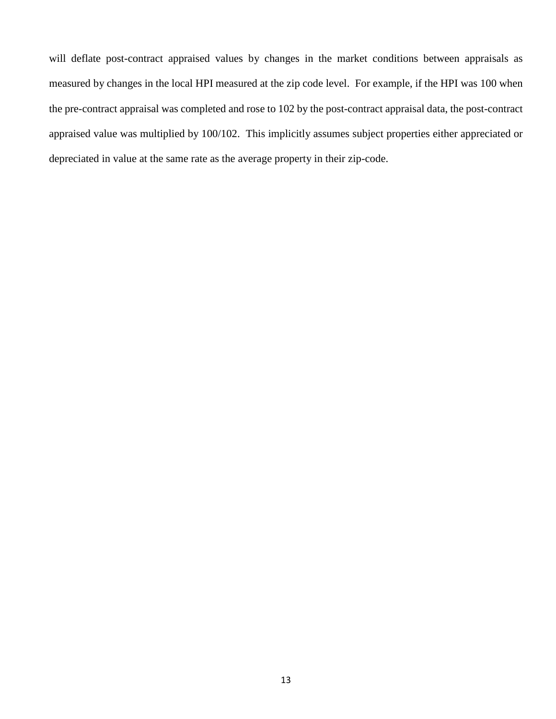will deflate post-contract appraised values by changes in the market conditions between appraisals as measured by changes in the local HPI measured at the zip code level. For example, if the HPI was 100 when the pre-contract appraisal was completed and rose to 102 by the post-contract appraisal data, the post-contract appraised value was multiplied by 100/102. This implicitly assumes subject properties either appreciated or depreciated in value at the same rate as the average property in their zip-code.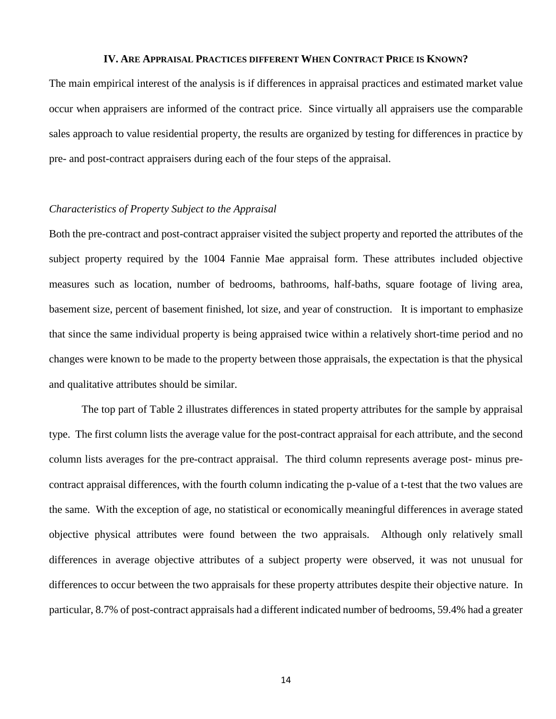#### **IV. ARE APPRAISAL PRACTICES DIFFERENT WHEN CONTRACT PRICE IS KNOWN?**

The main empirical interest of the analysis is if differences in appraisal practices and estimated market value occur when appraisers are informed of the contract price. Since virtually all appraisers use the comparable sales approach to value residential property, the results are organized by testing for differences in practice by pre- and post-contract appraisers during each of the four steps of the appraisal.

# *Characteristics of Property Subject to the Appraisal*

Both the pre-contract and post-contract appraiser visited the subject property and reported the attributes of the subject property required by the 1004 Fannie Mae appraisal form. These attributes included objective measures such as location, number of bedrooms, bathrooms, half-baths, square footage of living area, basement size, percent of basement finished, lot size, and year of construction. It is important to emphasize that since the same individual property is being appraised twice within a relatively short-time period and no changes were known to be made to the property between those appraisals, the expectation is that the physical and qualitative attributes should be similar.

The top part of Table 2 illustrates differences in stated property attributes for the sample by appraisal type. The first column lists the average value for the post-contract appraisal for each attribute, and the second column lists averages for the pre-contract appraisal. The third column represents average post- minus precontract appraisal differences, with the fourth column indicating the p-value of a t-test that the two values are the same. With the exception of age, no statistical or economically meaningful differences in average stated objective physical attributes were found between the two appraisals. Although only relatively small differences in average objective attributes of a subject property were observed, it was not unusual for differences to occur between the two appraisals for these property attributes despite their objective nature. In particular, 8.7% of post-contract appraisals had a different indicated number of bedrooms, 59.4% had a greater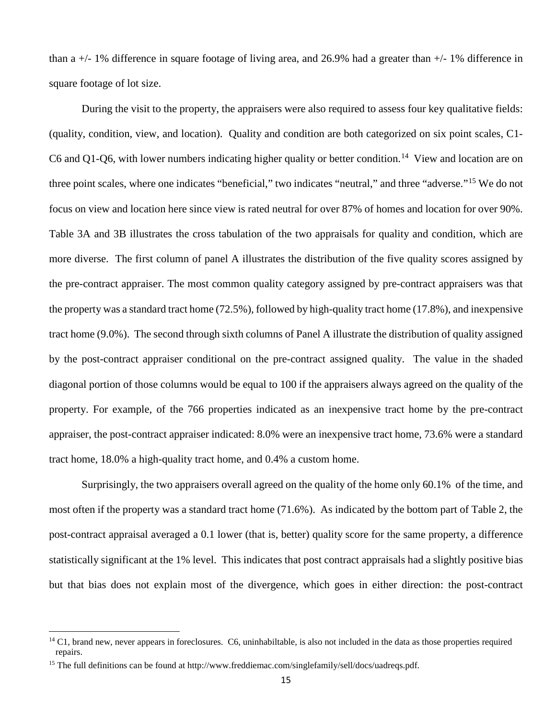than a +/- 1% difference in square footage of living area, and 26.9% had a greater than +/- 1% difference in square footage of lot size.

During the visit to the property, the appraisers were also required to assess four key qualitative fields: (quality, condition, view, and location). Quality and condition are both categorized on six point scales, C1- C6 and Q1-Q6, with lower numbers indicating higher quality or better condition.<sup>[14](#page-14-0)</sup> View and location are on three point scales, where one indicates "beneficial," two indicates "neutral," and three "adverse."[15](#page-14-1) We do not focus on view and location here since view is rated neutral for over 87% of homes and location for over 90%. Table 3A and 3B illustrates the cross tabulation of the two appraisals for quality and condition, which are more diverse. The first column of panel A illustrates the distribution of the five quality scores assigned by the pre-contract appraiser. The most common quality category assigned by pre-contract appraisers was that the property was a standard tract home (72.5%), followed by high-quality tract home (17.8%), and inexpensive tract home (9.0%). The second through sixth columns of Panel A illustrate the distribution of quality assigned by the post-contract appraiser conditional on the pre-contract assigned quality. The value in the shaded diagonal portion of those columns would be equal to 100 if the appraisers always agreed on the quality of the property. For example, of the 766 properties indicated as an inexpensive tract home by the pre-contract appraiser, the post-contract appraiser indicated: 8.0% were an inexpensive tract home, 73.6% were a standard tract home, 18.0% a high-quality tract home, and 0.4% a custom home.

Surprisingly, the two appraisers overall agreed on the quality of the home only 60.1% of the time, and most often if the property was a standard tract home (71.6%). As indicated by the bottom part of Table 2, the post-contract appraisal averaged a 0.1 lower (that is, better) quality score for the same property, a difference statistically significant at the 1% level. This indicates that post contract appraisals had a slightly positive bias but that bias does not explain most of the divergence, which goes in either direction: the post-contract

l

<span id="page-14-0"></span> $<sup>14</sup>$  C1, brand new, never appears in foreclosures. C6, uninhabiltable, is also not included in the data as those properties required</sup> repairs.

<span id="page-14-1"></span><sup>&</sup>lt;sup>15</sup> The full definitions can be found at http://www.freddiemac.com/singlefamily/sell/docs/uadreqs.pdf.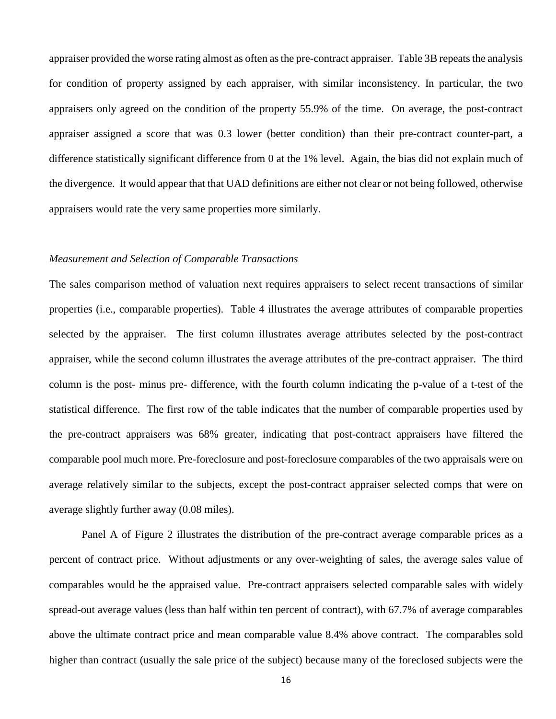appraiser provided the worse rating almost as often as the pre-contract appraiser. Table 3B repeats the analysis for condition of property assigned by each appraiser, with similar inconsistency. In particular, the two appraisers only agreed on the condition of the property 55.9% of the time. On average, the post-contract appraiser assigned a score that was 0.3 lower (better condition) than their pre-contract counter-part, a difference statistically significant difference from 0 at the 1% level. Again, the bias did not explain much of the divergence. It would appear that that UAD definitions are either not clear or not being followed, otherwise appraisers would rate the very same properties more similarly.

#### *Measurement and Selection of Comparable Transactions*

The sales comparison method of valuation next requires appraisers to select recent transactions of similar properties (i.e., comparable properties). Table 4 illustrates the average attributes of comparable properties selected by the appraiser. The first column illustrates average attributes selected by the post-contract appraiser, while the second column illustrates the average attributes of the pre-contract appraiser. The third column is the post- minus pre- difference, with the fourth column indicating the p-value of a t-test of the statistical difference. The first row of the table indicates that the number of comparable properties used by the pre-contract appraisers was 68% greater, indicating that post-contract appraisers have filtered the comparable pool much more. Pre-foreclosure and post-foreclosure comparables of the two appraisals were on average relatively similar to the subjects, except the post-contract appraiser selected comps that were on average slightly further away (0.08 miles).

Panel A of Figure 2 illustrates the distribution of the pre-contract average comparable prices as a percent of contract price. Without adjustments or any over-weighting of sales, the average sales value of comparables would be the appraised value. Pre-contract appraisers selected comparable sales with widely spread-out average values (less than half within ten percent of contract), with 67.7% of average comparables above the ultimate contract price and mean comparable value 8.4% above contract. The comparables sold higher than contract (usually the sale price of the subject) because many of the foreclosed subjects were the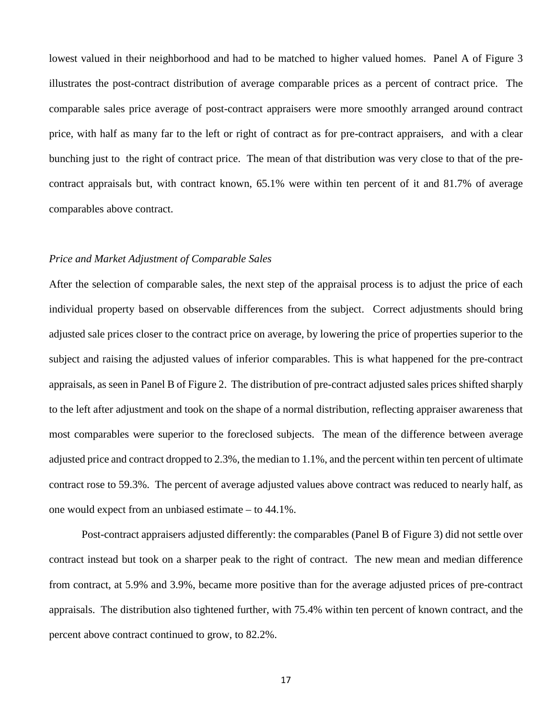lowest valued in their neighborhood and had to be matched to higher valued homes. Panel A of Figure 3 illustrates the post-contract distribution of average comparable prices as a percent of contract price. The comparable sales price average of post-contract appraisers were more smoothly arranged around contract price, with half as many far to the left or right of contract as for pre-contract appraisers, and with a clear bunching just to the right of contract price. The mean of that distribution was very close to that of the precontract appraisals but, with contract known, 65.1% were within ten percent of it and 81.7% of average comparables above contract.

#### *Price and Market Adjustment of Comparable Sales*

After the selection of comparable sales, the next step of the appraisal process is to adjust the price of each individual property based on observable differences from the subject. Correct adjustments should bring adjusted sale prices closer to the contract price on average, by lowering the price of properties superior to the subject and raising the adjusted values of inferior comparables. This is what happened for the pre-contract appraisals, as seen in Panel B of Figure 2. The distribution of pre-contract adjusted sales prices shifted sharply to the left after adjustment and took on the shape of a normal distribution, reflecting appraiser awareness that most comparables were superior to the foreclosed subjects. The mean of the difference between average adjusted price and contract dropped to 2.3%, the median to 1.1%, and the percent within ten percent of ultimate contract rose to 59.3%. The percent of average adjusted values above contract was reduced to nearly half, as one would expect from an unbiased estimate – to 44.1%.

Post-contract appraisers adjusted differently: the comparables (Panel B of Figure 3) did not settle over contract instead but took on a sharper peak to the right of contract. The new mean and median difference from contract, at 5.9% and 3.9%, became more positive than for the average adjusted prices of pre-contract appraisals. The distribution also tightened further, with 75.4% within ten percent of known contract, and the percent above contract continued to grow, to 82.2%.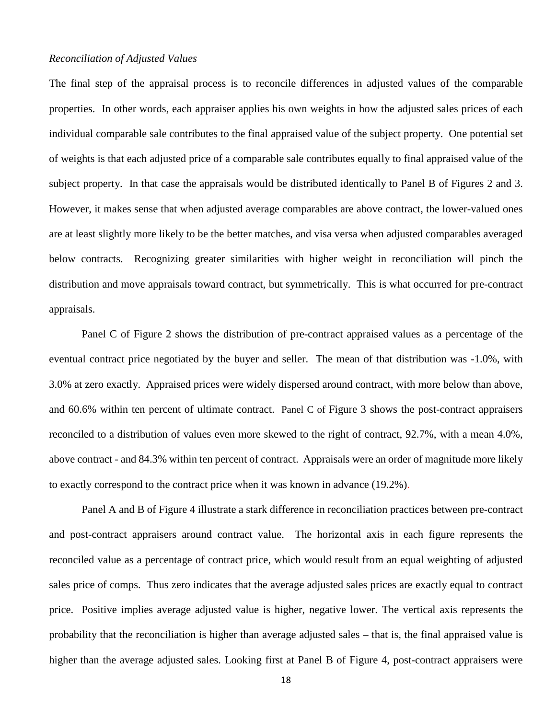#### *Reconciliation of Adjusted Values*

The final step of the appraisal process is to reconcile differences in adjusted values of the comparable properties. In other words, each appraiser applies his own weights in how the adjusted sales prices of each individual comparable sale contributes to the final appraised value of the subject property. One potential set of weights is that each adjusted price of a comparable sale contributes equally to final appraised value of the subject property. In that case the appraisals would be distributed identically to Panel B of Figures 2 and 3. However, it makes sense that when adjusted average comparables are above contract, the lower-valued ones are at least slightly more likely to be the better matches, and visa versa when adjusted comparables averaged below contracts. Recognizing greater similarities with higher weight in reconciliation will pinch the distribution and move appraisals toward contract, but symmetrically. This is what occurred for pre-contract appraisals.

Panel C of Figure 2 shows the distribution of pre-contract appraised values as a percentage of the eventual contract price negotiated by the buyer and seller. The mean of that distribution was -1.0%, with 3.0% at zero exactly. Appraised prices were widely dispersed around contract, with more below than above, and 60.6% within ten percent of ultimate contract. Panel C of Figure 3 shows the post-contract appraisers reconciled to a distribution of values even more skewed to the right of contract, 92.7%, with a mean 4.0%, above contract - and 84.3% within ten percent of contract. Appraisals were an order of magnitude more likely to exactly correspond to the contract price when it was known in advance (19.2%).

Panel A and B of Figure 4 illustrate a stark difference in reconciliation practices between pre-contract and post-contract appraisers around contract value. The horizontal axis in each figure represents the reconciled value as a percentage of contract price, which would result from an equal weighting of adjusted sales price of comps. Thus zero indicates that the average adjusted sales prices are exactly equal to contract price. Positive implies average adjusted value is higher, negative lower. The vertical axis represents the probability that the reconciliation is higher than average adjusted sales – that is, the final appraised value is higher than the average adjusted sales. Looking first at Panel B of Figure 4, post-contract appraisers were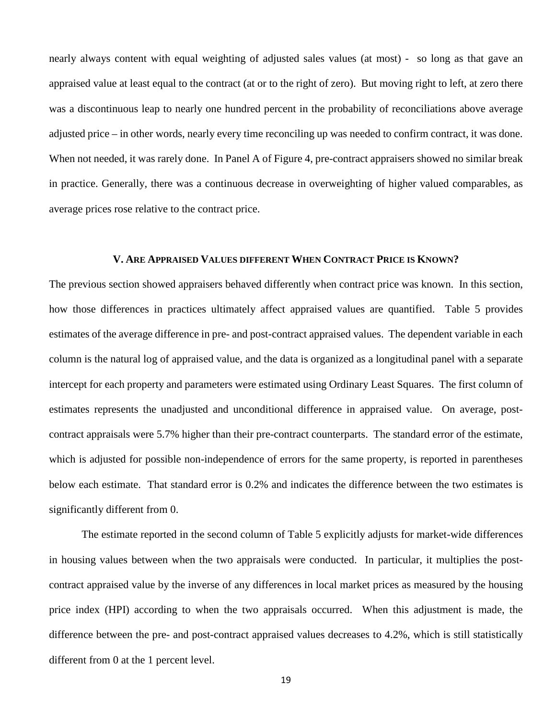nearly always content with equal weighting of adjusted sales values (at most) - so long as that gave an appraised value at least equal to the contract (at or to the right of zero). But moving right to left, at zero there was a discontinuous leap to nearly one hundred percent in the probability of reconciliations above average adjusted price – in other words, nearly every time reconciling up was needed to confirm contract, it was done. When not needed, it was rarely done. In Panel A of Figure 4, pre-contract appraisers showed no similar break in practice. Generally, there was a continuous decrease in overweighting of higher valued comparables, as average prices rose relative to the contract price.

#### **V. ARE APPRAISED VALUES DIFFERENT WHEN CONTRACT PRICE IS KNOWN?**

The previous section showed appraisers behaved differently when contract price was known. In this section, how those differences in practices ultimately affect appraised values are quantified. Table 5 provides estimates of the average difference in pre- and post-contract appraised values. The dependent variable in each column is the natural log of appraised value, and the data is organized as a longitudinal panel with a separate intercept for each property and parameters were estimated using Ordinary Least Squares. The first column of estimates represents the unadjusted and unconditional difference in appraised value. On average, postcontract appraisals were 5.7% higher than their pre-contract counterparts. The standard error of the estimate, which is adjusted for possible non-independence of errors for the same property, is reported in parentheses below each estimate. That standard error is 0.2% and indicates the difference between the two estimates is significantly different from 0.

The estimate reported in the second column of Table 5 explicitly adjusts for market-wide differences in housing values between when the two appraisals were conducted. In particular, it multiplies the postcontract appraised value by the inverse of any differences in local market prices as measured by the housing price index (HPI) according to when the two appraisals occurred. When this adjustment is made, the difference between the pre- and post-contract appraised values decreases to 4.2%, which is still statistically different from 0 at the 1 percent level.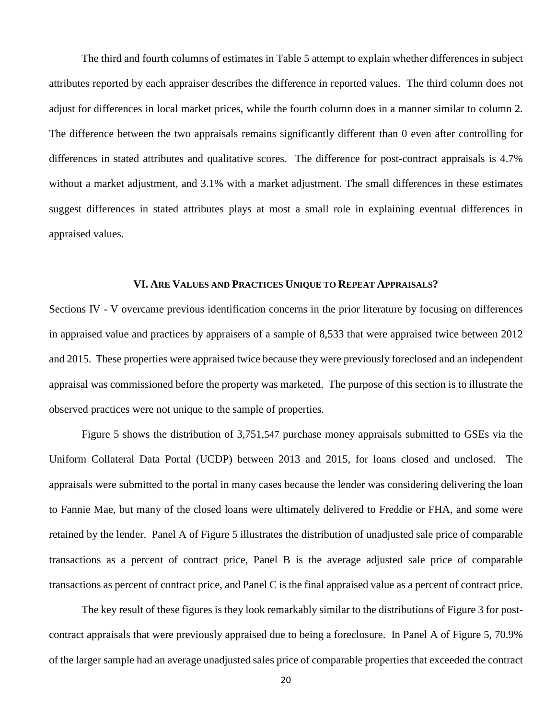The third and fourth columns of estimates in Table 5 attempt to explain whether differences in subject attributes reported by each appraiser describes the difference in reported values. The third column does not adjust for differences in local market prices, while the fourth column does in a manner similar to column 2. The difference between the two appraisals remains significantly different than 0 even after controlling for differences in stated attributes and qualitative scores. The difference for post-contract appraisals is 4.7% without a market adjustment, and 3.1% with a market adjustment. The small differences in these estimates suggest differences in stated attributes plays at most a small role in explaining eventual differences in appraised values.

# **VI. ARE VALUES AND PRACTICES UNIQUE TO REPEAT APPRAISALS?**

Sections IV - V overcame previous identification concerns in the prior literature by focusing on differences in appraised value and practices by appraisers of a sample of 8,533 that were appraised twice between 2012 and 2015. These properties were appraised twice because they were previously foreclosed and an independent appraisal was commissioned before the property was marketed. The purpose of this section is to illustrate the observed practices were not unique to the sample of properties.

Figure 5 shows the distribution of 3,751,547 purchase money appraisals submitted to GSEs via the Uniform Collateral Data Portal (UCDP) between 2013 and 2015, for loans closed and unclosed. The appraisals were submitted to the portal in many cases because the lender was considering delivering the loan to Fannie Mae, but many of the closed loans were ultimately delivered to Freddie or FHA, and some were retained by the lender. Panel A of Figure 5 illustrates the distribution of unadjusted sale price of comparable transactions as a percent of contract price, Panel B is the average adjusted sale price of comparable transactions as percent of contract price, and Panel C is the final appraised value as a percent of contract price.

The key result of these figures is they look remarkably similar to the distributions of Figure 3 for postcontract appraisals that were previously appraised due to being a foreclosure. In Panel A of Figure 5, 70.9% of the larger sample had an average unadjusted sales price of comparable properties that exceeded the contract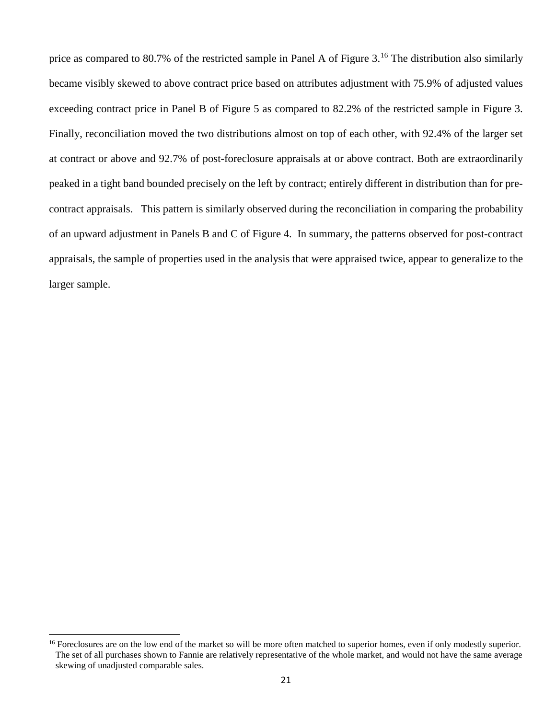price as compared to 80.7% of the restricted sample in Panel A of Figure 3.[16](#page-20-0) The distribution also similarly became visibly skewed to above contract price based on attributes adjustment with 75.9% of adjusted values exceeding contract price in Panel B of Figure 5 as compared to 82.2% of the restricted sample in Figure 3. Finally, reconciliation moved the two distributions almost on top of each other, with 92.4% of the larger set at contract or above and 92.7% of post-foreclosure appraisals at or above contract. Both are extraordinarily peaked in a tight band bounded precisely on the left by contract; entirely different in distribution than for precontract appraisals. This pattern is similarly observed during the reconciliation in comparing the probability of an upward adjustment in Panels B and C of Figure 4. In summary, the patterns observed for post-contract appraisals, the sample of properties used in the analysis that were appraised twice, appear to generalize to the larger sample.

l

<span id="page-20-0"></span><sup>&</sup>lt;sup>16</sup> Foreclosures are on the low end of the market so will be more often matched to superior homes, even if only modestly superior. The set of all purchases shown to Fannie are relatively representative of the whole market, and would not have the same average skewing of unadjusted comparable sales.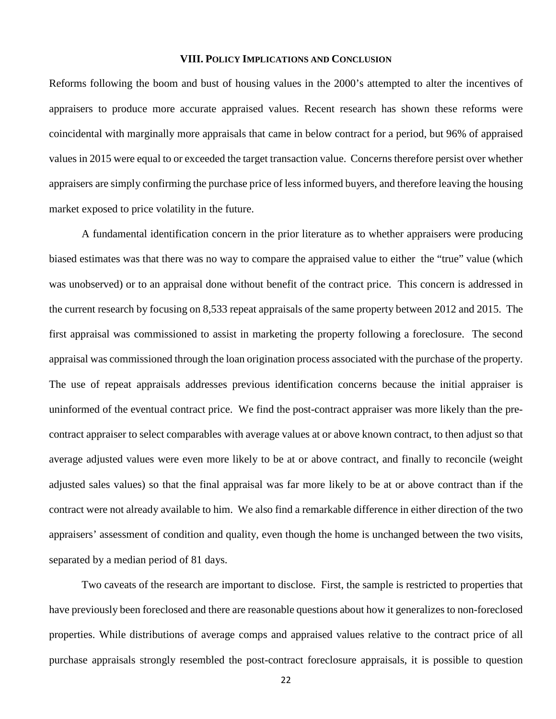#### **VIII. POLICY IMPLICATIONS AND CONCLUSION**

Reforms following the boom and bust of housing values in the 2000's attempted to alter the incentives of appraisers to produce more accurate appraised values. Recent research has shown these reforms were coincidental with marginally more appraisals that came in below contract for a period, but 96% of appraised values in 2015 were equal to or exceeded the target transaction value. Concerns therefore persist over whether appraisers are simply confirming the purchase price of less informed buyers, and therefore leaving the housing market exposed to price volatility in the future.

A fundamental identification concern in the prior literature as to whether appraisers were producing biased estimates was that there was no way to compare the appraised value to either the "true" value (which was unobserved) or to an appraisal done without benefit of the contract price. This concern is addressed in the current research by focusing on 8,533 repeat appraisals of the same property between 2012 and 2015. The first appraisal was commissioned to assist in marketing the property following a foreclosure. The second appraisal was commissioned through the loan origination process associated with the purchase of the property. The use of repeat appraisals addresses previous identification concerns because the initial appraiser is uninformed of the eventual contract price. We find the post-contract appraiser was more likely than the precontract appraiser to select comparables with average values at or above known contract, to then adjust so that average adjusted values were even more likely to be at or above contract, and finally to reconcile (weight adjusted sales values) so that the final appraisal was far more likely to be at or above contract than if the contract were not already available to him. We also find a remarkable difference in either direction of the two appraisers' assessment of condition and quality, even though the home is unchanged between the two visits, separated by a median period of 81 days.

Two caveats of the research are important to disclose. First, the sample is restricted to properties that have previously been foreclosed and there are reasonable questions about how it generalizes to non-foreclosed properties. While distributions of average comps and appraised values relative to the contract price of all purchase appraisals strongly resembled the post-contract foreclosure appraisals, it is possible to question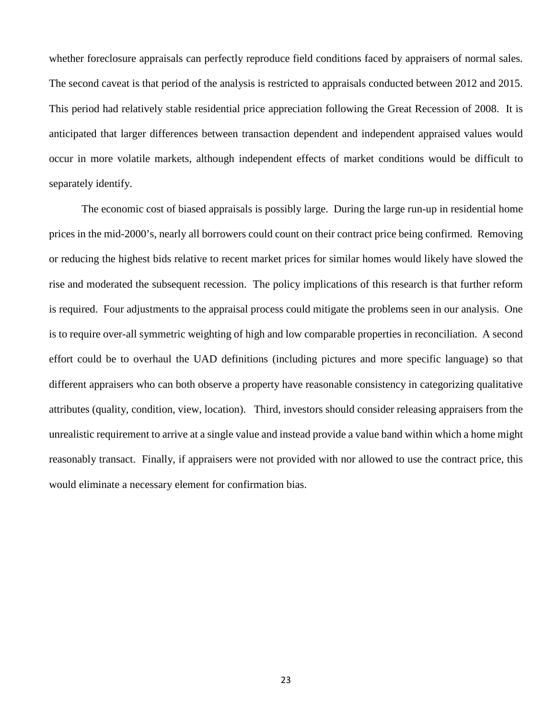whether foreclosure appraisals can perfectly reproduce field conditions faced by appraisers of normal sales. The second caveat is that period of the analysis is restricted to appraisals conducted between 2012 and 2015. This period had relatively stable residential price appreciation following the Great Recession of 2008. It is anticipated that larger differences between transaction dependent and independent appraised values would occur in more volatile markets, although independent effects of market conditions would be difficult to separately identify.

The economic cost of biased appraisals is possibly large. During the large run-up in residential home prices in the mid-2000's, nearly all borrowers could count on their contract price being confirmed. Removing or reducing the highest bids relative to recent market prices for similar homes would likely have slowed the rise and moderated the subsequent recession. The policy implications of this research is that further reform is required. Four adjustments to the appraisal process could mitigate the problems seen in our analysis. One is to require over-all symmetric weighting of high and low comparable properties in reconciliation. A second effort could be to overhaul the UAD definitions (including pictures and more specific language) so that different appraisers who can both observe a property have reasonable consistency in categorizing qualitative attributes (quality, condition, view, location). Third, investors should consider releasing appraisers from the unrealistic requirement to arrive at a single value and instead provide a value band within which a home might reasonably transact. Finally, if appraisers were not provided with nor allowed to use the contract price, this would eliminate a necessary element for confirmation bias.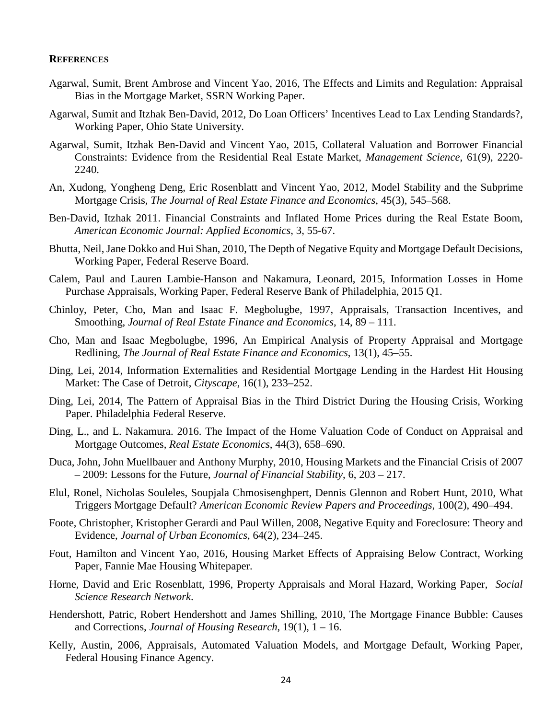#### **REFERENCES**

- Agarwal, Sumit, Brent Ambrose and Vincent Yao, 2016, The Effects and Limits and Regulation: Appraisal Bias in the Mortgage Market, SSRN Working Paper.
- Agarwal, Sumit and Itzhak Ben-David, 2012, Do Loan Officers' Incentives Lead to Lax Lending Standards?, Working Paper, Ohio State University.
- Agarwal, Sumit, Itzhak Ben-David and Vincent Yao, 2015, Collateral Valuation and Borrower Financial Constraints: Evidence from the Residential Real Estate Market, *Management Science*, 61(9), 2220- 2240.
- An, Xudong, Yongheng Deng, Eric Rosenblatt and Vincent Yao, 2012, Model Stability and the Subprime Mortgage Crisis, *The Journal of Real Estate Finance and Economics*, 45(3), 545–568.
- Ben-David, Itzhak 2011. Financial Constraints and Inflated Home Prices during the Real Estate Boom, *American Economic Journal: Applied Economics*, 3, 55-67.
- Bhutta, Neil, Jane Dokko and Hui Shan, 2010, The Depth of Negative Equity and Mortgage Default Decisions, Working Paper, Federal Reserve Board.
- Calem, Paul and Lauren Lambie-Hanson and Nakamura, Leonard, 2015, Information Losses in Home Purchase Appraisals, Working Paper, Federal Reserve Bank of Philadelphia, 2015 Q1.
- Chinloy, Peter, Cho, Man and Isaac F. Megbolugbe, 1997, Appraisals, Transaction Incentives, and Smoothing, *Journal of Real Estate Finance and Economics*, 14, 89 – 111.
- Cho, Man and Isaac Megbolugbe, 1996, An Empirical Analysis of Property Appraisal and Mortgage Redlining, *The Journal of Real Estate Finance and Economics*, 13(1), 45–55.
- Ding, Lei, 2014, Information Externalities and Residential Mortgage Lending in the Hardest Hit Housing Market: The Case of Detroit, *Cityscape*, 16(1), 233–252.
- Ding, Lei, 2014, The Pattern of Appraisal Bias in the Third District During the Housing Crisis, Working Paper. Philadelphia Federal Reserve.
- Ding, L., and L. Nakamura. 2016. The Impact of the Home Valuation Code of Conduct on Appraisal and Mortgage Outcomes, *Real Estate Economics*, 44(3), 658–690.
- Duca, John, John Muellbauer and Anthony Murphy, 2010, Housing Markets and the Financial Crisis of 2007 – 2009: Lessons for the Future, *Journal of Financial Stability*, 6, 203 – 217.
- Elul, Ronel, Nicholas Souleles, Soupjala Chmosisenghpert, Dennis Glennon and Robert Hunt, 2010, What Triggers Mortgage Default? *American Economic Review Papers and Proceedings*, 100(2), 490–494.
- Foote, Christopher, Kristopher Gerardi and Paul Willen, 2008, Negative Equity and Foreclosure: Theory and Evidence, *Journal of Urban Economics*, 64(2), 234–245.
- Fout, Hamilton and Vincent Yao, 2016, Housing Market Effects of Appraising Below Contract, Working Paper, Fannie Mae Housing Whitepaper.
- Horne, David and Eric Rosenblatt, 1996, Property Appraisals and Moral Hazard, Working Paper, *Social Science Research Network*.
- Hendershott, Patric, Robert Hendershott and James Shilling, 2010, The Mortgage Finance Bubble: Causes and Corrections, *Journal of Housing Research*, 19(1), 1 – 16.
- Kelly, Austin, 2006, Appraisals, Automated Valuation Models, and Mortgage Default, Working Paper, Federal Housing Finance Agency.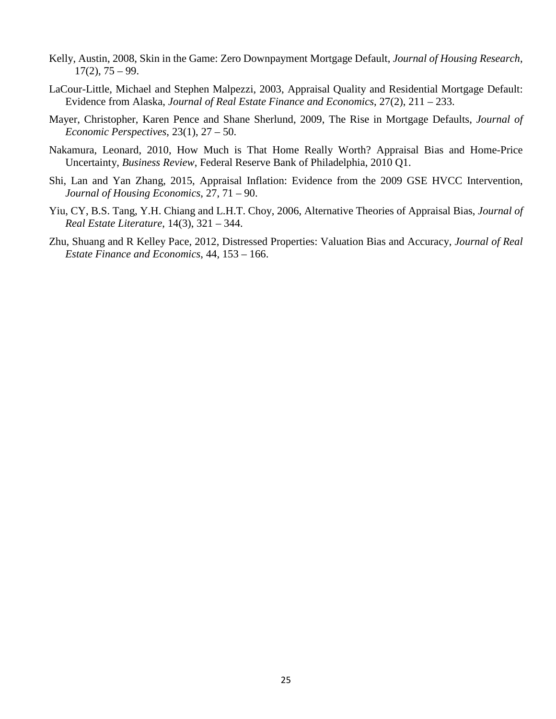- Kelly, Austin, 2008, Skin in the Game: Zero Downpayment Mortgage Default, *Journal of Housing Research*,  $17(2)$ ,  $75 - 99$ .
- LaCour-Little, Michael and Stephen Malpezzi, 2003, Appraisal Quality and Residential Mortgage Default: Evidence from Alaska, *Journal of Real Estate Finance and Economics*, 27(2), 211 – 233.
- Mayer, Christopher, Karen Pence and Shane Sherlund, 2009, The Rise in Mortgage Defaults, *Journal of Economic Perspectives*, 23(1), 27 – 50.
- Nakamura, Leonard, 2010, How Much is That Home Really Worth? Appraisal Bias and Home-Price Uncertainty, *Business Review*, Federal Reserve Bank of Philadelphia, 2010 Q1.
- Shi, Lan and Yan Zhang, 2015, Appraisal Inflation: Evidence from the 2009 GSE HVCC Intervention, *Journal of Housing Economics*, 27, 71 – 90.
- Yiu, CY, B.S. Tang, Y.H. Chiang and L.H.T. Choy, 2006, Alternative Theories of Appraisal Bias, *Journal of Real Estate Literature*, 14(3), 321 – 344.
- Zhu, Shuang and R Kelley Pace, 2012, Distressed Properties: Valuation Bias and Accuracy, *Journal of Real Estate Finance and Economics*, 44, 153 – 166.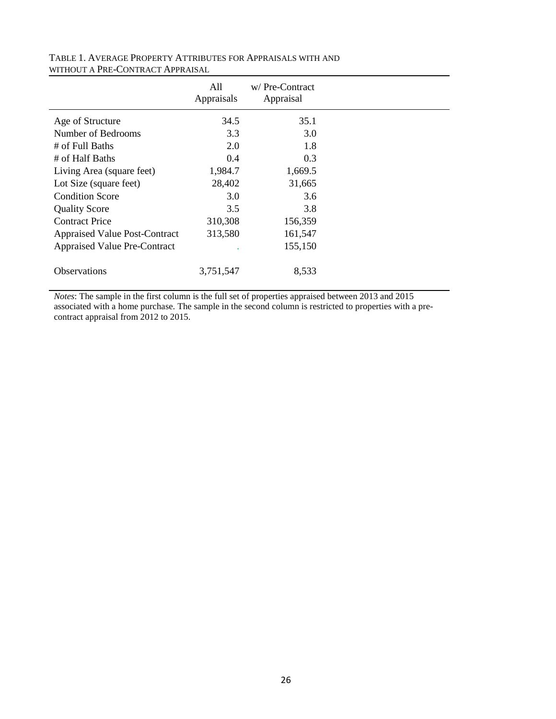|                                      | All<br>Appraisals | w/Pre-Contract<br>Appraisal |  |
|--------------------------------------|-------------------|-----------------------------|--|
| Age of Structure                     | 34.5              | 35.1                        |  |
| Number of Bedrooms                   | 3.3               | 3.0                         |  |
| # of Full Baths                      | 2.0               | 1.8                         |  |
| # of Half Baths                      | 0.4               | 0.3                         |  |
| Living Area (square feet)            | 1,984.7           | 1,669.5                     |  |
| Lot Size (square feet)               | 28,402            | 31,665                      |  |
| <b>Condition Score</b>               | 3.0               | 3.6                         |  |
| <b>Quality Score</b>                 | 3.5               | 3.8                         |  |
| <b>Contract Price</b>                | 310,308           | 156,359                     |  |
| <b>Appraised Value Post-Contract</b> | 313,580           | 161,547                     |  |
| <b>Appraised Value Pre-Contract</b>  |                   | 155,150                     |  |
| <b>Observations</b>                  | 3,751,547         | 8,533                       |  |

# TABLE 1. AVERAGE PROPERTY ATTRIBUTES FOR APPRAISALS WITH AND WITHOUT A PRE-CONTRACT APPRAISAL

*Notes*: The sample in the first column is the full set of properties appraised between 2013 and 2015 associated with a home purchase. The sample in the second column is restricted to properties with a precontract appraisal from 2012 to 2015.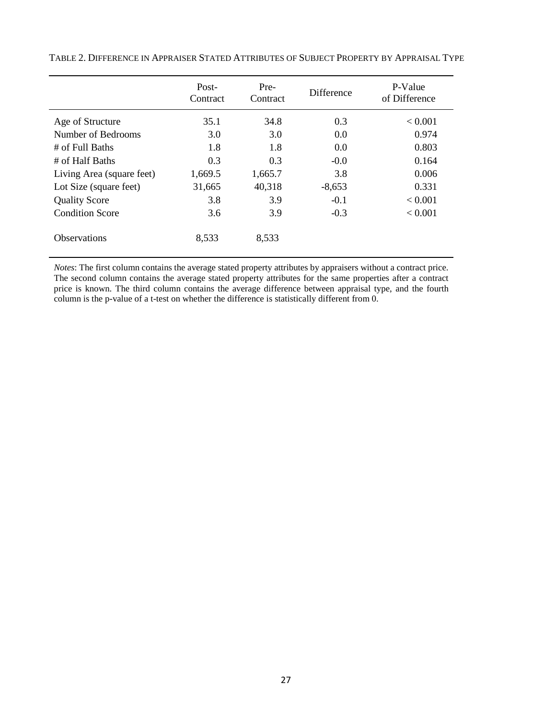|                           | Post-<br>Contract | Pre-<br>Contract | <b>Difference</b> | P-Value<br>of Difference |
|---------------------------|-------------------|------------------|-------------------|--------------------------|
| Age of Structure          | 35.1              | 34.8             | 0.3               | < 0.001                  |
| Number of Bedrooms        | 3.0               | 3.0              | 0.0               | 0.974                    |
| $#$ of Full Baths         | 1.8               | 1.8              | 0.0               | 0.803                    |
| # of Half Baths           | 0.3               | 0.3              | $-0.0$            | 0.164                    |
| Living Area (square feet) | 1,669.5           | 1,665.7          | 3.8               | 0.006                    |
| Lot Size (square feet)    | 31,665            | 40,318           | $-8,653$          | 0.331                    |
| <b>Quality Score</b>      | 3.8               | 3.9              | $-0.1$            | < 0.001                  |
| <b>Condition Score</b>    | 3.6               | 3.9              | $-0.3$            | < 0.001                  |
| <b>Observations</b>       | 8,533             | 8,533            |                   |                          |

TABLE 2. DIFFERENCE IN APPRAISER STATED ATTRIBUTES OF SUBJECT PROPERTY BY APPRAISAL TYPE

*Notes*: The first column contains the average stated property attributes by appraisers without a contract price. The second column contains the average stated property attributes for the same properties after a contract price is known. The third column contains the average difference between appraisal type, and the fourth column is the p-value of a t-test on whether the difference is statistically different from 0.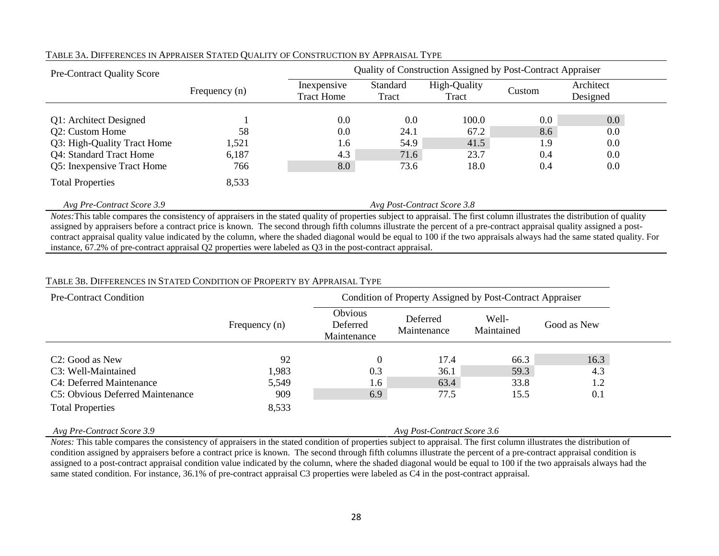| <b>Pre-Contract Quality Score</b> | Quality of Construction Assigned by Post-Contract Appraiser |                                  |                             |                       |        |                       |
|-----------------------------------|-------------------------------------------------------------|----------------------------------|-----------------------------|-----------------------|--------|-----------------------|
|                                   | Frequency $(n)$                                             | Inexpensive<br><b>Tract Home</b> | Standard<br>Tract           | High-Quality<br>Tract | Custom | Architect<br>Designed |
| Q1: Architect Designed            |                                                             | 0.0                              | 0.0                         | 100.0                 | 0.0    | $0.0\,$               |
| Q2: Custom Home                   | 58                                                          | 0.0                              | 24.1                        | 67.2                  | 8.6    | 0.0                   |
| Q3: High-Quality Tract Home       | 1,521                                                       | 1.6                              | 54.9                        | 41.5                  | 1.9    | 0.0                   |
| <b>Q4: Standard Tract Home</b>    | 6,187                                                       | 4.3                              | 71.6                        | 23.7                  | 0.4    | 0.0                   |
| Q5: Inexpensive Tract Home        | 766                                                         | 8.0                              | 73.6                        | 18.0                  | 0.4    | 0.0                   |
| <b>Total Properties</b>           | 8,533                                                       |                                  |                             |                       |        |                       |
| Avg Pre-Contract Score 3.9        |                                                             |                                  | Avg Post-Contract Score 3.8 |                       |        |                       |

### TABLE 3A. DIFFERENCES IN APPRAISER STATED QUALITY OF CONSTRUCTION BY APPRAISAL TYPE

*Notes:*This table compares the consistency of appraisers in the stated quality of properties subject to appraisal. The first column illustrates the distribution of quality assigned by appraisers before a contract price is known. The second through fifth columns illustrate the percent of a pre-contract appraisal quality assigned a postcontract appraisal quality value indicated by the column, where the shaded diagonal would be equal to 100 if the two appraisals always had the same stated quality. For instance, 67.2% of pre-contract appraisal Q2 properties were labeled as Q3 in the post-contract appraisal.

### TABLE 3B. DIFFERENCES IN STATED CONDITION OF PROPERTY BY APPRAISAL TYPE

| <b>Pre-Contract Condition</b>    | Condition of Property Assigned by Post-Contract Appraiser |                                    |                             |                     |             |
|----------------------------------|-----------------------------------------------------------|------------------------------------|-----------------------------|---------------------|-------------|
|                                  | Frequency $(n)$                                           | Obvious<br>Deferred<br>Maintenance | Deferred<br>Maintenance     | Well-<br>Maintained | Good as New |
|                                  |                                                           |                                    |                             |                     |             |
| C <sub>2</sub> : Good as New     | 92                                                        |                                    | 17.4                        | 66.3                | 16.3        |
| C3: Well-Maintained              | 1,983                                                     | 0.3                                | 36.1                        | 59.3                | 4.3         |
| C4: Deferred Maintenance         | 5,549                                                     | 1.6                                | 63.4                        | 33.8                | 1.2         |
| C5: Obvious Deferred Maintenance | 909                                                       | 6.9                                | 77.5                        | 15.5                | 0.1         |
| <b>Total Properties</b>          | 8,533                                                     |                                    |                             |                     |             |
| Avg Pre-Contract Score 3.9       |                                                           |                                    | Avg Post-Contract Score 3.6 |                     |             |

*Notes*: This table compares the consistency of appraisers in the stated condition of properties subject to appraisal. The first column illustrates the distribution of condition assigned by appraisers before a contract price is known. The second through fifth columns illustrate the percent of a pre-contract appraisal condition is assigned to a post-contract appraisal condition value indicated by the column, where the shaded diagonal would be equal to 100 if the two appraisals always had the same stated condition. For instance, 36.1% of pre-contract appraisal C3 properties were labeled as C4 in the post-contract appraisal.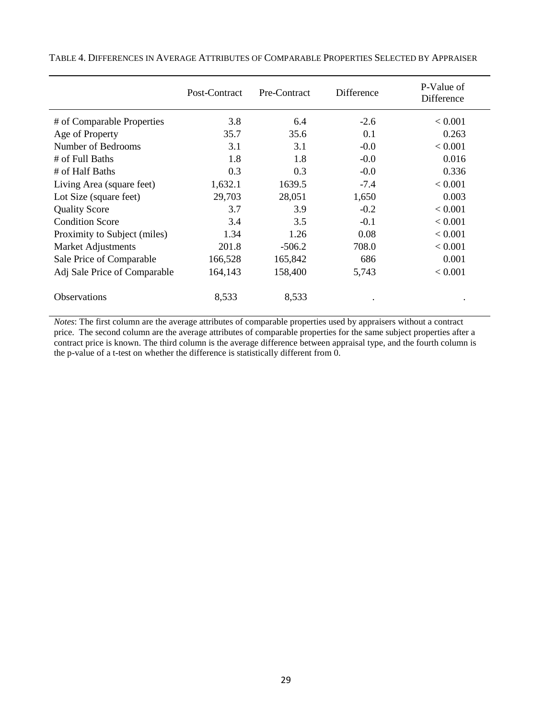|                              | Post-Contract | Pre-Contract | Difference | P-Value of<br>Difference |
|------------------------------|---------------|--------------|------------|--------------------------|
| # of Comparable Properties   | 3.8           | 6.4          | $-2.6$     | < 0.001                  |
| Age of Property              | 35.7          | 35.6         | 0.1        | 0.263                    |
| Number of Bedrooms           | 3.1           | 3.1          | $-0.0$     | < 0.001                  |
| # of Full Baths              | 1.8           | 1.8          | $-0.0$     | 0.016                    |
| # of Half Baths              | 0.3           | 0.3          | $-0.0$     | 0.336                    |
| Living Area (square feet)    | 1,632.1       | 1639.5       | $-7.4$     | < 0.001                  |
| Lot Size (square feet)       | 29,703        | 28,051       | 1,650      | 0.003                    |
| <b>Quality Score</b>         | 3.7           | 3.9          | $-0.2$     | < 0.001                  |
| <b>Condition Score</b>       | 3.4           | 3.5          | $-0.1$     | < 0.001                  |
| Proximity to Subject (miles) | 1.34          | 1.26         | 0.08       | < 0.001                  |
| Market Adjustments           | 201.8         | $-506.2$     | 708.0      | < 0.001                  |
| Sale Price of Comparable     | 166,528       | 165,842      | 686        | 0.001                    |
| Adj Sale Price of Comparable | 164,143       | 158,400      | 5,743      | < 0.001                  |
| Observations                 | 8,533         | 8,533        |            |                          |

TABLE 4. DIFFERENCES IN AVERAGE ATTRIBUTES OF COMPARABLE PROPERTIES SELECTED BY APPRAISER

*Notes*: The first column are the average attributes of comparable properties used by appraisers without a contract price. The second column are the average attributes of comparable properties for the same subject properties after a contract price is known. The third column is the average difference between appraisal type, and the fourth column is the p-value of a t-test on whether the difference is statistically different from 0.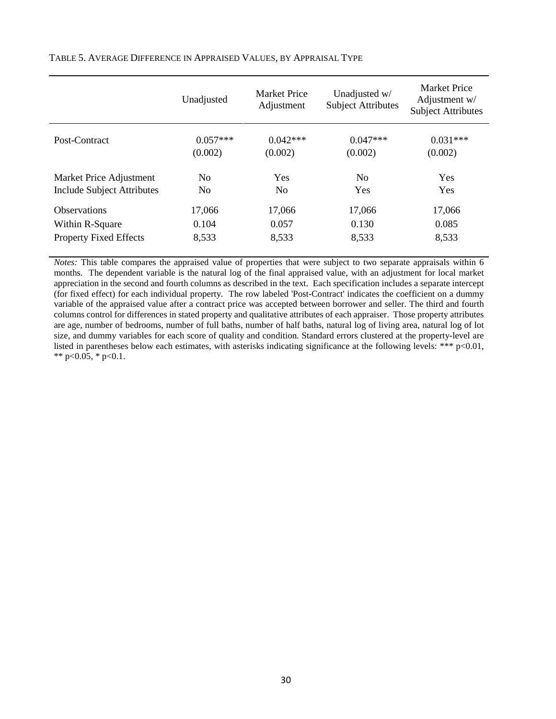|                                   | Unadjusted     | Market Price<br>Adjustment | Unadjusted w/<br><b>Subject Attributes</b> | <b>Market Price</b><br>Adjustment w/<br><b>Subject Attributes</b> |
|-----------------------------------|----------------|----------------------------|--------------------------------------------|-------------------------------------------------------------------|
| Post-Contract                     | $0.057***$     | $0.042***$                 | $0.047***$                                 | $0.031***$                                                        |
|                                   | (0.002)        | (0.002)                    | (0.002)                                    | (0.002)                                                           |
| Market Price Adjustment           | N <sub>0</sub> | Yes                        | N <sub>0</sub>                             | <b>Yes</b>                                                        |
| <b>Include Subject Attributes</b> | N <sub>0</sub> | N <sub>0</sub>             | <b>Yes</b>                                 | Yes                                                               |
| <b>Observations</b>               | 17,066         | 17,066                     | 17,066                                     | 17,066                                                            |
| Within R-Square                   | 0.104          | 0.057                      | 0.130                                      | 0.085                                                             |
| <b>Property Fixed Effects</b>     | 8,533          | 8,533                      | 8,533                                      | 8,533                                                             |

TABLE 5. AVERAGE DIFFERENCE IN APPRAISED VALUES, BY APPRAISAL TYPE

*Notes:* This table compares the appraised value of properties that were subject to two separate appraisals within 6 months. The dependent variable is the natural log of the final appraised value, with an adjustment for local market appreciation in the second and fourth columns as described in the text. Each specification includes a separate intercept (for fixed effect) for each individual property. The row labeled 'Post-Contract' indicates the coefficient on a dummy variable of the appraised value after a contract price was accepted between borrower and seller. The third and fourth columns control for differences in stated property and qualitative attributes of each appraiser. Those property attributes are age, number of bedrooms, number of full baths, number of half baths, natural log of living area, natural log of lot size, and dummy variables for each score of quality and condition. Standard errors clustered at the property-level are listed in parentheses below each estimates, with asterisks indicating significance at the following levels: \*\*\*  $p<0.01$ , \*\* p<0.05, \* p<0.1.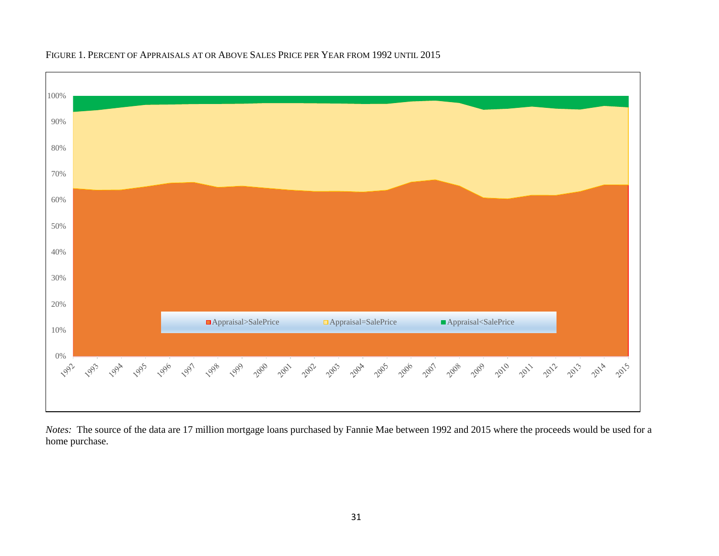

# FIGURE 1. PERCENT OF APPRAISALS AT OR ABOVE SALES PRICE PER YEAR FROM 1992 UNTIL 2015

*Notes:* The source of the data are 17 million mortgage loans purchased by Fannie Mae between 1992 and 2015 where the proceeds would be used for a home purchase.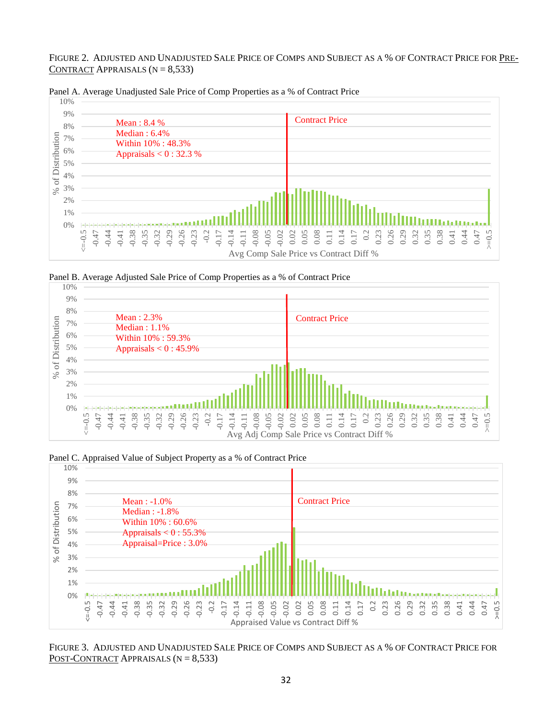FIGURE 2. ADJUSTED AND UNADJUSTED SALE PRICE OF COMPS AND SUBJECT AS A % OF CONTRACT PRICE FOR PRE-CONTRACT APPRAISALS  $(N = 8,533)$ 



Panel A. Average Unadjusted Sale Price of Comp Properties as a % of Contract Price

Panel B. Average Adjusted Sale Price of Comp Properties as a % of Contract Price



Panel C. Appraised Value of Subject Property as a % of Contract Price



FIGURE 3. ADJUSTED AND UNADJUSTED SALE PRICE OF COMPS AND SUBJECT AS A % OF CONTRACT PRICE FOR POST-CONTRACT APPRAISALS  $(N = 8,533)$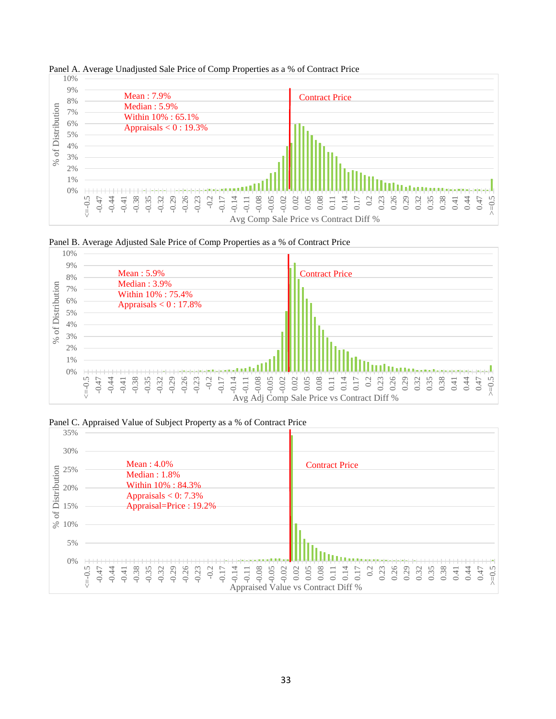

Panel A. Average Unadjusted Sale Price of Comp Properties as a % of Contract Price





Panel C. Appraised Value of Subject Property as a % of Contract Price

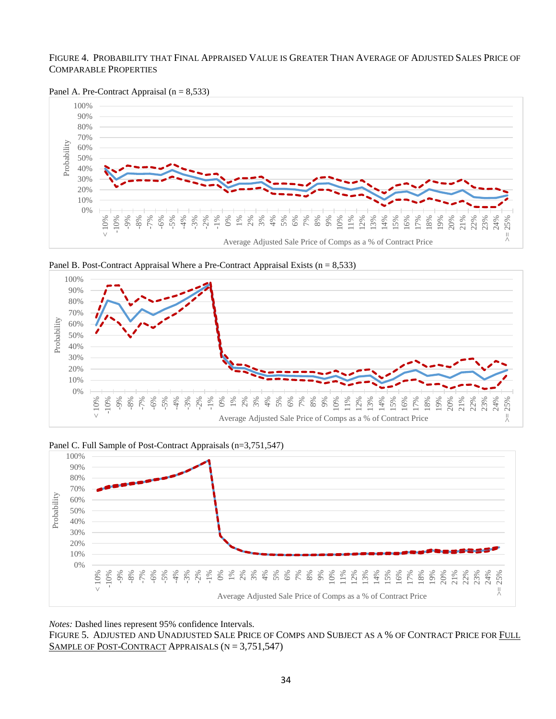#### FIGURE 4. PROBABILITY THAT FINAL APPRAISED VALUE IS GREATER THAN AVERAGE OF ADJUSTED SALES PRICE OF COMPARABLE PROPERTIES





Panel B. Post-Contract Appraisal Where a Pre-Contract Appraisal Exists  $(n = 8,533)$ 





*Notes:* Dashed lines represent 95% confidence Intervals.

FIGURE 5. ADJUSTED AND UNADJUSTED SALE PRICE OF COMPS AND SUBJECT AS A % OF CONTRACT PRICE FOR FULL SAMPLE OF POST-CONTRACT APPRAISALS (N = 3,751,547)